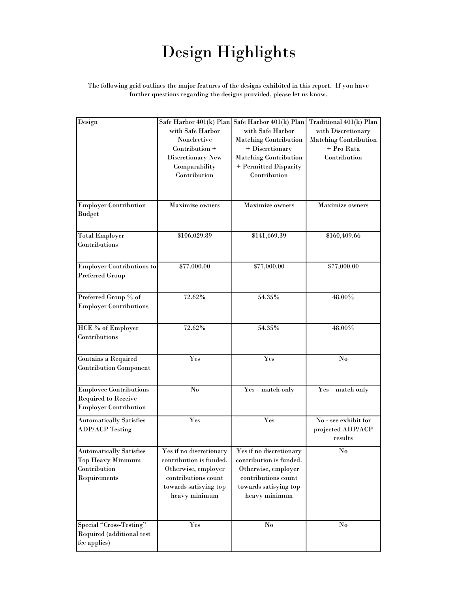# Design Highlights

#### The following grid outlines the major features of the designs exhibited in this report. If you have further questions regarding the designs provided, please let us know.

| Design                         | Safe Harbor 401(k) Plan | Safe Harbor 401(k) Plan      | Traditional 401(k) Plan      |
|--------------------------------|-------------------------|------------------------------|------------------------------|
|                                | with Safe Harbor        | with Safe Harbor             | with Discretionary           |
|                                | Nonelective             |                              |                              |
|                                |                         | <b>Matching Contribution</b> | <b>Matching Contribution</b> |
|                                | Contribution +          | + Discretionary              | + Pro Rata                   |
|                                | Discretionary New       | <b>Matching Contribution</b> | Contribution                 |
|                                | Comparability           | + Permitted Disparity        |                              |
|                                | Contribution            | Contribution                 |                              |
|                                |                         |                              |                              |
|                                |                         |                              |                              |
| <b>Employer Contribution</b>   | <b>Maximize owners</b>  | <b>Maximize owners</b>       | <b>Maximize owners</b>       |
| <b>Budget</b>                  |                         |                              |                              |
|                                |                         |                              |                              |
|                                |                         |                              |                              |
| <b>Total Employer</b>          | \$106,029.89            | \$141,669.39                 | \$160,409.66                 |
| Contributions                  |                         |                              |                              |
|                                |                         |                              |                              |
| Employer Contributions to      | \$77,000.00             | \$77,000.00                  | \$77,000.00                  |
| <b>Preferred Group</b>         |                         |                              |                              |
|                                |                         |                              |                              |
|                                |                         |                              |                              |
| Preferred Group % of           | 72.62%                  | 54.35%                       | 48.00%                       |
| <b>Employer Contributions</b>  |                         |                              |                              |
|                                |                         |                              |                              |
| <b>HCE</b> % of Employer       | 72.62%                  | 54.35%                       | 48.00%                       |
| Contributions                  |                         |                              |                              |
|                                |                         |                              |                              |
|                                | Yes                     | Yes                          | $\mathbf{N}\mathbf{o}$       |
| Contains a Required            |                         |                              |                              |
| <b>Contribution Component</b>  |                         |                              |                              |
|                                |                         |                              |                              |
| <b>Employee Contributions</b>  | $\mathbf{N}\mathbf{o}$  | Yes - match only             | Yes - match only             |
| <b>Required to Receive</b>     |                         |                              |                              |
| Employer Contribution          |                         |                              |                              |
| <b>Automatically Satisfies</b> | Yes                     | Yes                          | No - see exhibit for         |
| <b>ADP/ACP Testing</b>         |                         |                              | projected ADP/ACP            |
|                                |                         |                              | results                      |
|                                |                         |                              |                              |
| <b>Automatically Satisfies</b> | Yes if no discretionary | Yes if no discretionary      | $\mathbf{No}$                |
| Top Heavy Minimum              | contribution is funded. | contribution is funded.      |                              |
| Contribution                   | Otherwise, employer     | Otherwise, employer          |                              |
| Requirements                   | contributions count     | contributions count          |                              |
|                                | towards satisying top   | towards satisying top        |                              |
|                                | heavy minimum           | heavy minimum                |                              |
|                                |                         |                              |                              |
|                                |                         |                              |                              |
| Special "Cross-Testing"        | Yes                     | $\mathbf{N}\mathbf{o}$       | $\mathbf{No}$                |
| Required (additional test      |                         |                              |                              |
| fee applies)                   |                         |                              |                              |
|                                |                         |                              |                              |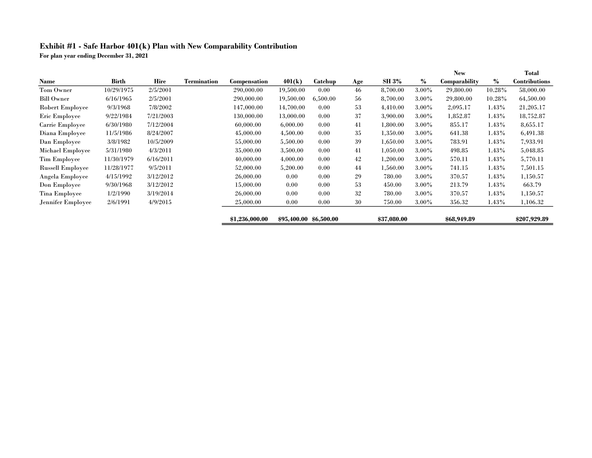## Exhibit #1 - Safe Harbor 401(k) Plan with New Comparability Contribution

For plan year ending December 31, 2021

|                         |            |           |                    |                  |                        |                |     |              |          | <b>New</b>    |          | Total                |
|-------------------------|------------|-----------|--------------------|------------------|------------------------|----------------|-----|--------------|----------|---------------|----------|----------------------|
| Name                    | Birth      | Hire      | <b>Termination</b> | Compensation     | 401(k)                 | <b>Catchup</b> | Age | <b>SH 3%</b> | $\%$     | Comparability | $\%$     | <b>Contributions</b> |
| Tom Owner               | 10/29/1975 | 2/5/2001  |                    | 290,000.00       | 19,500.00              | 0.00           | 46  | 8,700.00     | $3.00\%$ | 29,800.00     | 10.28%   | 58,000.00            |
| <b>Bill Owner</b>       | 6/16/1965  | 2/5/2001  |                    | 290,000.00       | 19,500.00              | 6,500.00       | 56  | 8,700.00     | 3.00%    | 29,800.00     | 10.28%   | 64,500.00            |
| <b>Robert Employee</b>  | 9/3/1968   | 7/8/2002  |                    | 147,000.00       | 14,700.00              | 0.00           | 53  | 4,410.00     | 3.00%    | 2,095.17      | 1.43%    | 21,205.17            |
| Eric Employee           | 9/22/1984  | 7/21/2003 |                    | $130{,}000{,}00$ | 13,000.00              | 0.00           | 37  | 3,900.00     | 3.00%    | 1,852.87      | 1.43%    | 18,752.87            |
| Carrie Employee         | 6/30/1980  | 7/12/2004 |                    | 60,000.00        | 6,000.00               | 0.00           | 41  | 1,800.00     | 3.00%    | 855.17        | 1.43%    | 8,655.17             |
| Diana Employee          | 11/5/1986  | 8/24/2007 |                    | 45,000.00        | 4,500.00               | 0.00           | 35  | 1,350.00     | 3.00%    | 641.38        | 1.43%    | 6,491.38             |
| Dan Employee            | 3/8/1982   | 10/5/2009 |                    | 55,000.00        | 5,500.00               | 0.00           | 39  | 1,650.00     | 3.00%    | 783.91        | $1.43\%$ | 7.933.91             |
| Michael Employee        | 5/31/1980  | 4/3/2011  |                    | 35,000.00        | 3,500.00               | 0.00           | 41  | 1,050.00     | $3.00\%$ | 498.85        | 1.43%    | 5,048.85             |
| <b>Tim Employee</b>     | 11/30/1979 | 6/16/2011 |                    | 40,000.00        | 4,000.00               | 0.00           | 42  | 1,200.00     | $3.00\%$ | 570.11        | 1.43%    | 5,770.11             |
| <b>Russell Employee</b> | 11/28/1977 | 9/5/2011  |                    | 52,000.00        | 5,200.00               | 0.00           | 44  | 1,560.00     | 3.00%    | 741.15        | 1.43%    | 7,501.15             |
| Angela Employee         | 4/15/1992  | 3/12/2012 |                    | 26,000.00        | 0.00                   | 0.00           | 29  | 780.00       | $3.00\%$ | 370.57        | 1.43%    | 1,150.57             |
| Don Employee            | 9/30/1968  | 3/12/2012 |                    | 15,000.00        | 0.00                   | 0.00           | 53  | 450.00       | $3.00\%$ | 213.79        | 1.43%    | 663.79               |
| Tina Employee           | 1/2/1990   | 3/19/2014 |                    | 26,000.00        | 0.00                   | 0.00           | 32  | 780.00       | $3.00\%$ | 370.57        | 1.43%    | 1,150.57             |
| Jennifer Employee       | 2/6/1991   | 4/9/2015  |                    | 25,000.00        | 0.00                   | 0.00           | 30  | 750.00       | $3.00\%$ | 356.32        | 1.43%    | 1,106.32             |
|                         |            |           |                    | \$1,236,000.00   | \$95,400.00 \$6,500.00 |                |     | \$37,080.00  |          | \$68,949.89   |          | \$207,929.89         |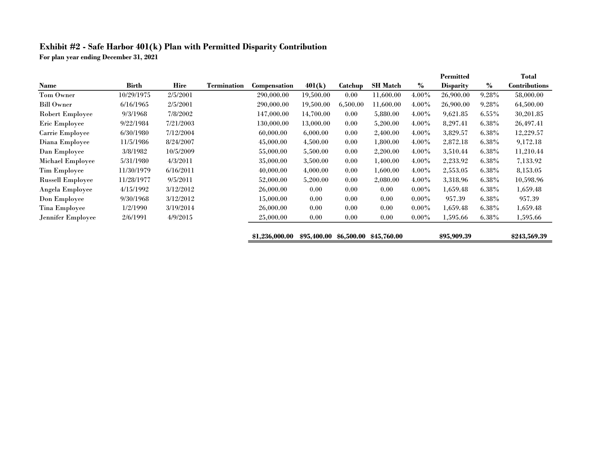## Exhibit #2 - Safe Harbor 401(k) Plan with Permitted Disparity Contribution

For plan year ending December 31, 2021

|                         |              |           |                    |                |             |            |                 |          | Permitted        |          | Total                |
|-------------------------|--------------|-----------|--------------------|----------------|-------------|------------|-----------------|----------|------------------|----------|----------------------|
| <b>Name</b>             | <b>Birth</b> | Hire      | <b>Termination</b> | Compensation   | 401(k)      | Catchup    | <b>SH Match</b> | $\%$     | <b>Disparity</b> | %        | <b>Contributions</b> |
| Tom Owner               | 10/29/1975   | 2/5/2001  |                    | 290,000.00     | 19,500.00   | 0.00       | 11,600.00       | 4.00%    | 26,900.00        | 9.28%    | 58,000.00            |
| <b>Bill Owner</b>       | 6/16/1965    | 2/5/2001  |                    | 290,000.00     | 19,500.00   | 6,500.00   | 11,600.00       | $4.00\%$ | 26,900.00        | 9.28%    | 64,500.00            |
| Robert Employee         | 9/3/1968     | 7/8/2002  |                    | 147,000.00     | 14,700.00   | 0.00       | 5,880.00        | $4.00\%$ | 9,621.85         | $6.55\%$ | 30,201.85            |
| Eric Employee           | 9/22/1984    | 7/21/2003 |                    | 130,000.00     | 13,000.00   | 0.00       | 5,200.00        | $4.00\%$ | 8,297.41         | $6.38\%$ | 26,497.41            |
| Carrie Employee         | 6/30/1980    | 7/12/2004 |                    | 60,000.00      | 6,000.00    | 0.00       | 2,400.00        | $4.00\%$ | 3,829.57         | 6.38%    | 12,229.57            |
| Diana Employee          | 11/5/1986    | 8/24/2007 |                    | 45,000.00      | 4,500.00    | 0.00       | 1,800.00        | $4.00\%$ | 2,872.18         | 6.38%    | 9,172.18             |
| Dan Employee            | 3/8/1982     | 10/5/2009 |                    | 55,000.00      | 5,500.00    | 0.00       | 2,200.00        | $4.00\%$ | 3,510.44         | $6.38\%$ | 11,210.44            |
| Michael Employee        | 5/31/1980    | 4/3/2011  |                    | 35,000.00      | 3,500.00    | 0.00       | 1,400.00        | $4.00\%$ | 2,233.92         | 6.38%    | 7,133.92             |
| <b>Tim Employee</b>     | 11/30/1979   | 6/16/2011 |                    | 40,000.00      | 4,000.00    | 0.00       | 1,600.00        | $4.00\%$ | 2,553.05         | $6.38\%$ | 8,153.05             |
| <b>Russell Employee</b> | 11/28/1977   | 9/5/2011  |                    | 52,000.00      | 5,200.00    | 0.00       | 2,080.00        | $4.00\%$ | 3,318.96         | $6.38\%$ | 10,598.96            |
| Angela Employee         | 4/15/1992    | 3/12/2012 |                    | 26,000.00      | 0.00        | 0.00       | 0.00            | $0.00\%$ | 1,659.48         | $6.38\%$ | 1,659.48             |
| Don Employee            | 9/30/1968    | 3/12/2012 |                    | 15,000.00      | 0.00        | 0.00       | 0.00            | $0.00\%$ | 957.39           | 6.38%    | 957.39               |
| <b>Tina Employee</b>    | 1/2/1990     | 3/19/2014 |                    | 26,000.00      | 0.00        | 0.00       | 0.00            | $0.00\%$ | 1,659.48         | 6.38%    | 1,659.48             |
| Jennifer Employee       | 2/6/1991     | 4/9/2015  |                    | 25,000.00      | 0.00        | 0.00       | 0.00            | $0.00\%$ | 1,595.66         | 6.38%    | 1,595.66             |
|                         |              |           |                    | \$1,236,000.00 | \$95,400.00 | \$6,500.00 | \$45,760.00     |          | \$95,909.39      |          | \$243,569.39         |

=